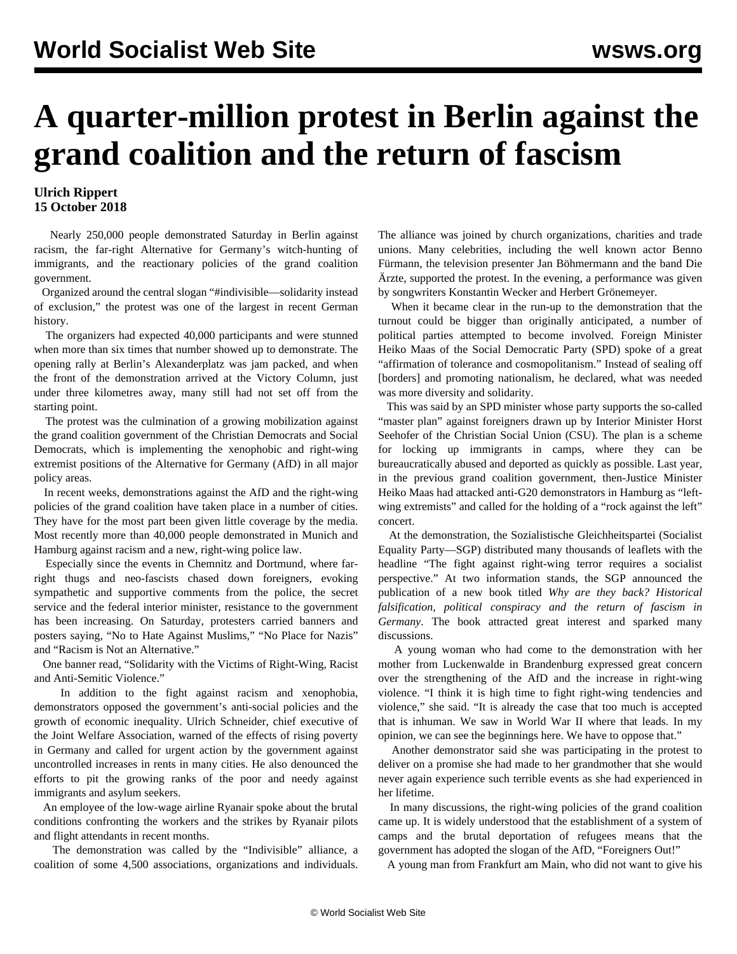## **A quarter-million protest in Berlin against the grand coalition and the return of fascism**

## **Ulrich Rippert 15 October 2018**

 Nearly 250,000 people demonstrated Saturday in Berlin against racism, the far-right Alternative for Germany's witch-hunting of immigrants, and the reactionary policies of the grand coalition government.

 Organized around the central slogan "#indivisible—solidarity instead of exclusion," the protest was one of the largest in recent German history.

 The organizers had expected 40,000 participants and were stunned when more than six times that number showed up to demonstrate. The opening rally at Berlin's Alexanderplatz was jam packed, and when the front of the demonstration arrived at the Victory Column, just under three kilometres away, many still had not set off from the starting point.

 The protest was the culmination of a growing mobilization against the grand coalition government of the Christian Democrats and Social Democrats, which is implementing the xenophobic and right-wing extremist positions of the Alternative for Germany (AfD) in all major policy areas.

 In recent weeks, demonstrations against the AfD and the right-wing policies of the grand coalition have taken place in a number of cities. They have for the most part been given little coverage by the media. Most recently more than 40,000 people demonstrated in Munich and Hamburg against racism and a new, right-wing police law.

 Especially since the events in Chemnitz and Dortmund, where farright thugs and neo-fascists chased down foreigners, evoking sympathetic and supportive comments from the police, the secret service and the federal interior minister, resistance to the government has been increasing. On Saturday, protesters carried banners and posters saying, "No to Hate Against Muslims," "No Place for Nazis" and "Racism is Not an Alternative."

 One banner read, "Solidarity with the Victims of Right-Wing, Racist and Anti-Semitic Violence."

 In addition to the fight against racism and xenophobia, demonstrators opposed the government's anti-social policies and the growth of economic inequality. Ulrich Schneider, chief executive of the Joint Welfare Association, warned of the effects of rising poverty in Germany and called for urgent action by the government against uncontrolled increases in rents in many cities. He also denounced the efforts to pit the growing ranks of the poor and needy against immigrants and asylum seekers.

 An employee of the low-wage airline Ryanair spoke about the brutal conditions confronting the workers and the strikes by Ryanair pilots and flight attendants in recent months.

 The demonstration was called by the "Indivisible" alliance, a coalition of some 4,500 associations, organizations and individuals.

The alliance was joined by church organizations, charities and trade unions. Many celebrities, including the well known actor Benno Fürmann, the television presenter Jan Böhmermann and the band Die Ärzte, supported the protest. In the evening, a performance was given by songwriters Konstantin Wecker and Herbert Grönemeyer.

 When it became clear in the run-up to the demonstration that the turnout could be bigger than originally anticipated, a number of political parties attempted to become involved. Foreign Minister Heiko Maas of the Social Democratic Party (SPD) spoke of a great "affirmation of tolerance and cosmopolitanism." Instead of sealing off [borders] and promoting nationalism, he declared, what was needed was more diversity and solidarity.

 This was said by an SPD minister whose party supports the so-called "master plan" against foreigners drawn up by Interior Minister Horst Seehofer of the Christian Social Union (CSU). The plan is a scheme for locking up immigrants in camps, where they can be bureaucratically abused and deported as quickly as possible. Last year, in the previous grand coalition government, then-Justice Minister Heiko Maas had attacked anti-G20 demonstrators in Hamburg as "leftwing extremists" and called for the holding of a "rock against the left" concert.

 At the demonstration, the Sozialistische Gleichheitspartei (Socialist Equality Party—SGP) distributed many thousands of leaflets with the headline "The fight against right-wing terror requires a socialist perspective." At two information stands, the SGP announced the publication of a new book titled *Why are they back? Historical falsification, political conspiracy and the return of fascism in Germany*. The book attracted great interest and sparked many discussions.

 A young woman who had come to the demonstration with her mother from Luckenwalde in Brandenburg expressed great concern over the strengthening of the AfD and the increase in right-wing violence. "I think it is high time to fight right-wing tendencies and violence," she said. "It is already the case that too much is accepted that is inhuman. We saw in World War II where that leads. In my opinion, we can see the beginnings here. We have to oppose that."

 Another demonstrator said she was participating in the protest to deliver on a promise she had made to her grandmother that she would never again experience such terrible events as she had experienced in her lifetime.

 In many discussions, the right-wing policies of the grand coalition came up. It is widely understood that the establishment of a system of camps and the brutal deportation of refugees means that the government has adopted the slogan of the AfD, "Foreigners Out!"

A young man from Frankfurt am Main, who did not want to give his